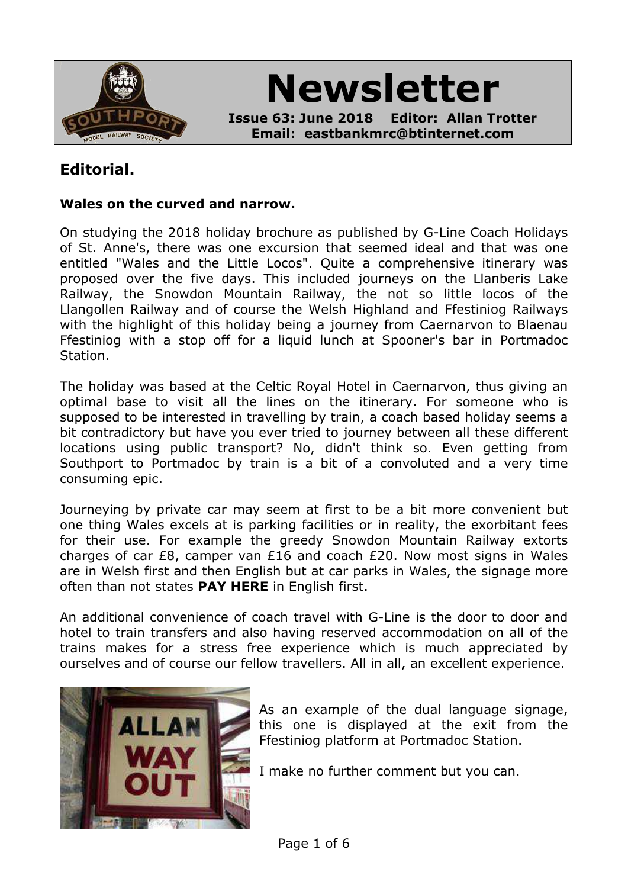

**Newsletter**

**Issue 63: June 2018 Editor: Allan Trotter Email: eastbankmrc@btinternet.com**

# **Editorial.**

#### **Wales on the curved and narrow.**

On studying the 2018 holiday brochure as published by G-Line Coach Holidays of St. Anne's, there was one excursion that seemed ideal and that was one entitled "Wales and the Little Locos". Quite a comprehensive itinerary was proposed over the five days. This included journeys on the Llanberis Lake Railway, the Snowdon Mountain Railway, the not so little locos of the Llangollen Railway and of course the Welsh Highland and Ffestiniog Railways with the highlight of this holiday being a journey from Caernarvon to Blaenau Ffestiniog with a stop off for a liquid lunch at Spooner's bar in Portmadoc Station.

The holiday was based at the Celtic Royal Hotel in Caernarvon, thus giving an optimal base to visit all the lines on the itinerary. For someone who is supposed to be interested in travelling by train, a coach based holiday seems a bit contradictory but have you ever tried to journey between all these different locations using public transport? No, didn't think so. Even getting from Southport to Portmadoc by train is a bit of a convoluted and a very time consuming epic.

Journeying by private car may seem at first to be a bit more convenient but one thing Wales excels at is parking facilities or in reality, the exorbitant fees for their use. For example the greedy Snowdon Mountain Railway extorts charges of car £8, camper van £16 and coach £20. Now most signs in Wales are in Welsh first and then English but at car parks in Wales, the signage more often than not states **PAY HERE** in English first.

An additional convenience of coach travel with G-Line is the door to door and hotel to train transfers and also having reserved accommodation on all of the trains makes for a stress free experience which is much appreciated by ourselves and of course our fellow travellers. All in all, an excellent experience.



As an example of the dual language signage, this one is displayed at the exit from the Ffestiniog platform at Portmadoc Station.

I make no further comment but you can.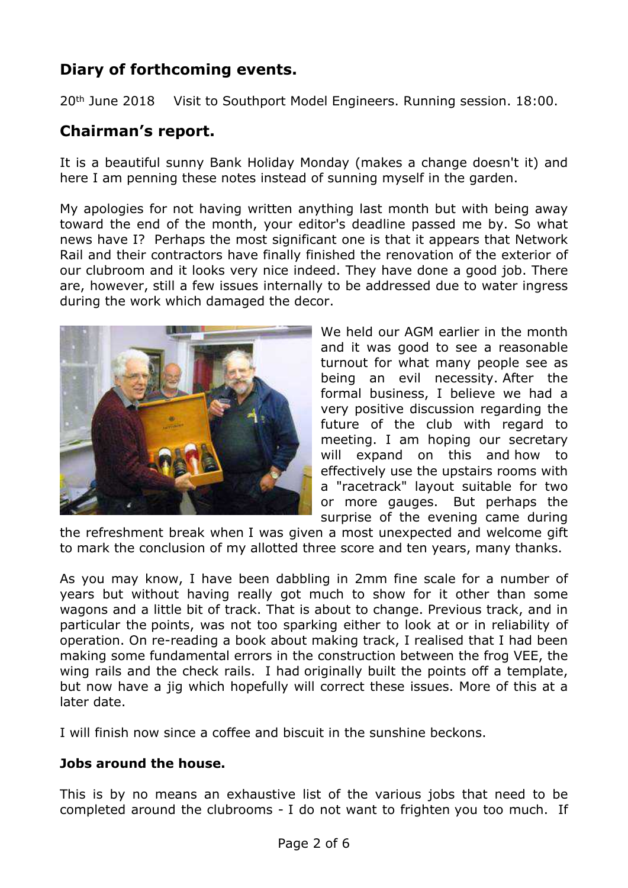# **Diary of forthcoming events.**

20th June 2018 Visit to Southport Model Engineers. Running session. 18:00.

## **Chairman's report.**

It is a beautiful sunny Bank Holiday Monday (makes a change doesn't it) and here I am penning these notes instead of sunning myself in the garden.

My apologies for not having written anything last month but with being away toward the end of the month, your editor's deadline passed me by. So what news have I? Perhaps the most significant one is that it appears that Network Rail and their contractors have finally finished the renovation of the exterior of our clubroom and it looks very nice indeed. They have done a good job. There are, however, still a few issues internally to be addressed due to water ingress during the work which damaged the decor.



We held our AGM earlier in the month and it was good to see a reasonable turnout for what many people see as being an evil necessity. After the formal business, I believe we had a very positive discussion regarding the future of the club with regard to meeting. I am hoping our secretary will expand on this and how to effectively use the upstairs rooms with a "racetrack" layout suitable for two or more gauges. But perhaps the surprise of the evening came during

the refreshment break when I was given a most unexpected and welcome gift to mark the conclusion of my allotted three score and ten years, many thanks.

As you may know, I have been dabbling in 2mm fine scale for a number of years but without having really got much to show for it other than some wagons and a little bit of track. That is about to change. Previous track, and in particular the points, was not too sparking either to look at or in reliability of operation. On re-reading a book about making track, I realised that I had been making some fundamental errors in the construction between the frog VEE, the wing rails and the check rails. I had originally built the points off a template, but now have a jig which hopefully will correct these issues. More of this at a later date.

I will finish now since a coffee and biscuit in the sunshine beckons.

#### **Jobs around the house.**

This is by no means an exhaustive list of the various jobs that need to be completed around the clubrooms - I do not want to frighten you too much. If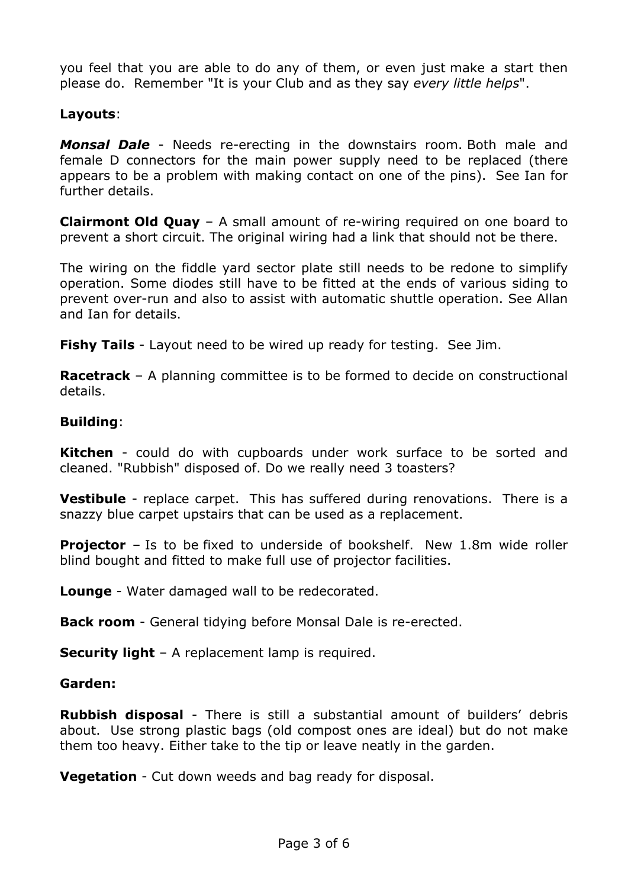you feel that you are able to do any of them, or even just make a start then please do. Remember "It is your Club and as they say *every little helps*".

#### **Layouts**:

*Monsal Dale* - Needs re-erecting in the downstairs room. Both male and female D connectors for the main power supply need to be replaced (there appears to be a problem with making contact on one of the pins). See Ian for further details.

**Clairmont Old Quay** – A small amount of re-wiring required on one board to prevent a short circuit. The original wiring had a link that should not be there.

The wiring on the fiddle yard sector plate still needs to be redone to simplify operation. Some diodes still have to be fitted at the ends of various siding to prevent over-run and also to assist with automatic shuttle operation. See Allan and Ian for details.

**Fishy Tails** - Layout need to be wired up ready for testing. See Jim.

**Racetrack** – A planning committee is to be formed to decide on constructional details.

#### **Building**:

**Kitchen** - could do with cupboards under work surface to be sorted and cleaned. "Rubbish" disposed of. Do we really need 3 toasters?

**Vestibule** - replace carpet. This has suffered during renovations. There is a snazzy blue carpet upstairs that can be used as a replacement.

**Projector** – Is to be fixed to underside of bookshelf. New 1.8m wide roller blind bought and fitted to make full use of projector facilities.

**Lounge** - Water damaged wall to be redecorated.

**Back room** - General tidying before Monsal Dale is re-erected.

**Security light** – A replacement lamp is required.

#### **Garden:**

**Rubbish disposal** - There is still a substantial amount of builders' debris about. Use strong plastic bags (old compost ones are ideal) but do not make them too heavy. Either take to the tip or leave neatly in the garden.

**Vegetation** - Cut down weeds and bag ready for disposal.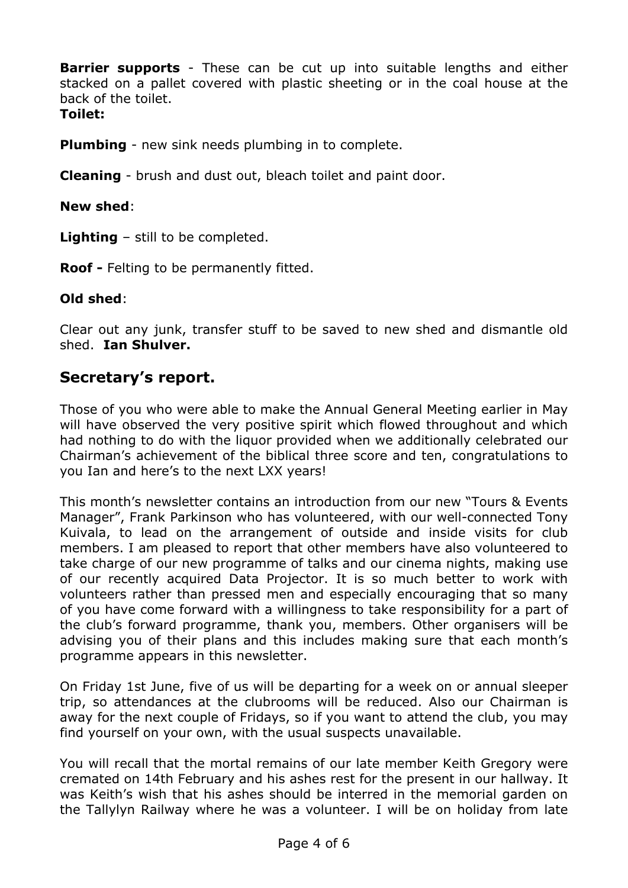**Barrier supports** - These can be cut up into suitable lengths and either stacked on a pallet covered with plastic sheeting or in the coal house at the back of the toilet.

### **Toilet:**

**Plumbing** - new sink needs plumbing in to complete.

**Cleaning** - brush and dust out, bleach toilet and paint door.

#### **New shed**:

**Lighting** – still to be completed.

**Roof -** Felting to be permanently fitted.

#### **Old shed**:

Clear out any junk, transfer stuff to be saved to new shed and dismantle old shed. **Ian Shulver.**

## **Secretary's report.**

Those of you who were able to make the Annual General Meeting earlier in May will have observed the very positive spirit which flowed throughout and which had nothing to do with the liquor provided when we additionally celebrated our Chairman's achievement of the biblical three score and ten, congratulations to you Ian and here's to the next LXX years!

This month's newsletter contains an introduction from our new "Tours & Events Manager", Frank Parkinson who has volunteered, with our well-connected Tony Kuivala, to lead on the arrangement of outside and inside visits for club members. I am pleased to report that other members have also volunteered to take charge of our new programme of talks and our cinema nights, making use of our recently acquired Data Projector. It is so much better to work with volunteers rather than pressed men and especially encouraging that so many of you have come forward with a willingness to take responsibility for a part of the club's forward programme, thank you, members. Other organisers will be advising you of their plans and this includes making sure that each month's programme appears in this newsletter.

On Friday 1st June, five of us will be departing for a week on or annual sleeper trip, so attendances at the clubrooms will be reduced. Also our Chairman is away for the next couple of Fridays, so if you want to attend the club, you may find yourself on your own, with the usual suspects unavailable.

You will recall that the mortal remains of our late member Keith Gregory were cremated on 14th February and his ashes rest for the present in our hallway. It was Keith's wish that his ashes should be interred in the memorial garden on the Tallylyn Railway where he was a volunteer. I will be on holiday from late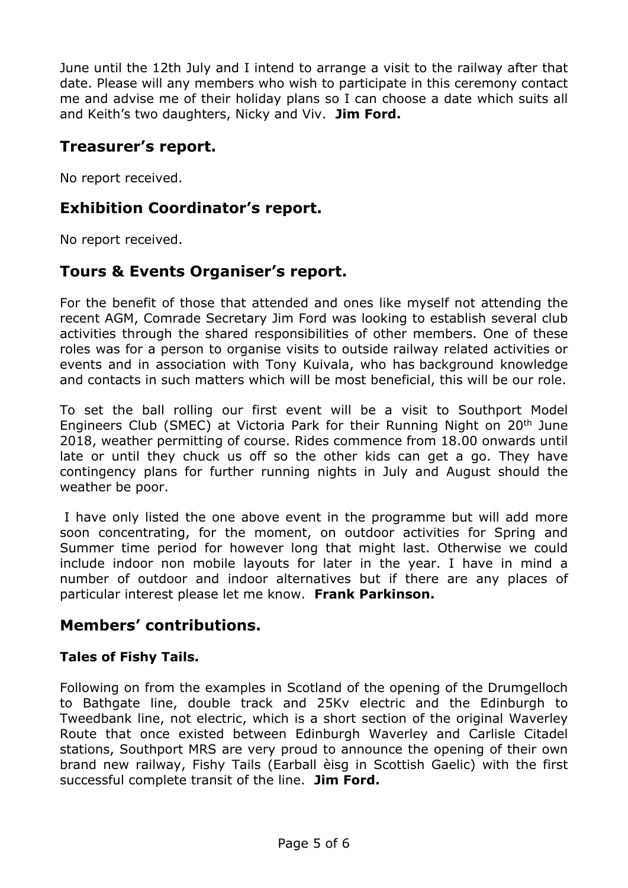June until the 12th July and I intend to arrange a visit to the railway after that date. Please will any members who wish to participate in this ceremony contact me and advise me of their holiday plans so I can choose a date which suits all and Keith's two daughters, Nicky and Viv. **Jim Ford.**

## **Treasurer's report.**

No report received.

## **Exhibition Coordinator's report.**

No report received.

## **Tours & Events Organiser's report.**

For the benefit of those that attended and ones like myself not attending the recent AGM, Comrade Secretary Jim Ford was looking to establish several club activities through the shared responsibilities of other members. One of these roles was for a person to organise visits to outside railway related activities or events and in association with Tony Kuivala, who has background knowledge and contacts in such matters which will be most beneficial, this will be our role.

To set the ball rolling our first event will be a visit to Southport Model Engineers Club (SMEC) at Victoria Park for their Running Night on 20th June 2018, weather permitting of course. Rides commence from 18.00 onwards until late or until they chuck us off so the other kids can get a go. They have contingency plans for further running nights in July and August should the weather be poor.

I have only listed the one above event in the programme but will add more soon concentrating, for the moment, on outdoor activities for Spring and Summer time period for however long that might last. Otherwise we could include indoor non mobile layouts for later in the year. I have in mind a number of outdoor and indoor alternatives but if there are any places of particular interest please let me know. **Frank Parkinson.**

## **Members' contributions.**

#### **Tales of Fishy Tails.**

Following on from the examples in Scotland of the opening of the Drumgelloch to Bathgate line, double track and 25Kv electric and the Edinburgh to Tweedbank line, not electric, which is a short section of the original Waverley Route that once existed between Edinburgh Waverley and Carlisle Citadel stations, Southport MRS are very proud to announce the opening of their own brand new railway, Fishy Tails (Earball èisg in Scottish Gaelic) with the first successful complete transit of the line. **Jim Ford.**